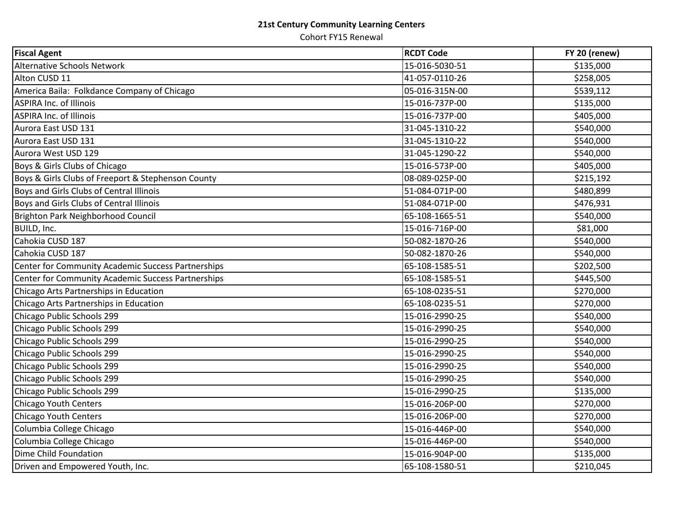## **21st Century Community Learning Centers**

Cohort FY15 Renewal

| <b>Fiscal Agent</b>                                | <b>RCDT Code</b> | FY 20 (renew) |
|----------------------------------------------------|------------------|---------------|
| <b>Alternative Schools Network</b>                 | 15-016-5030-51   | \$135,000     |
| Alton CUSD 11                                      | 41-057-0110-26   | \$258,005     |
| America Baila: Folkdance Company of Chicago        | 05-016-315N-00   | \$539,112     |
| <b>ASPIRA Inc. of Illinois</b>                     | 15-016-737P-00   | \$135,000     |
| <b>ASPIRA Inc. of Illinois</b>                     | 15-016-737P-00   | \$405,000     |
| Aurora East USD 131                                | 31-045-1310-22   | \$540,000     |
| Aurora East USD 131                                | 31-045-1310-22   | \$540,000     |
| Aurora West USD 129                                | 31-045-1290-22   | \$540,000     |
| Boys & Girls Clubs of Chicago                      | 15-016-573P-00   | \$405,000     |
| Boys & Girls Clubs of Freeport & Stephenson County | 08-089-025P-00   | \$215,192     |
| Boys and Girls Clubs of Central Illinois           | 51-084-071P-00   | \$480,899     |
| Boys and Girls Clubs of Central Illinois           | 51-084-071P-00   | \$476,931     |
| Brighton Park Neighborhood Council                 | 65-108-1665-51   | \$540,000     |
| BUILD, Inc.                                        | 15-016-716P-00   | \$81,000      |
| Cahokia CUSD 187                                   | 50-082-1870-26   | \$540,000     |
| Cahokia CUSD 187                                   | 50-082-1870-26   | \$540,000     |
| Center for Community Academic Success Partnerships | 65-108-1585-51   | \$202,500     |
| Center for Community Academic Success Partnerships | 65-108-1585-51   | \$445,500     |
| Chicago Arts Partnerships in Education             | 65-108-0235-51   | \$270,000     |
| Chicago Arts Partnerships in Education             | 65-108-0235-51   | \$270,000     |
| Chicago Public Schools 299                         | 15-016-2990-25   | \$540,000     |
| Chicago Public Schools 299                         | 15-016-2990-25   | \$540,000     |
| Chicago Public Schools 299                         | 15-016-2990-25   | \$540,000     |
| Chicago Public Schools 299                         | 15-016-2990-25   | \$540,000     |
| Chicago Public Schools 299                         | 15-016-2990-25   | \$540,000     |
| Chicago Public Schools 299                         | 15-016-2990-25   | \$540,000     |
| Chicago Public Schools 299                         | 15-016-2990-25   | \$135,000     |
| Chicago Youth Centers                              | 15-016-206P-00   | \$270,000     |
| Chicago Youth Centers                              | 15-016-206P-00   | \$270,000     |
| Columbia College Chicago                           | 15-016-446P-00   | \$540,000     |
| Columbia College Chicago                           | 15-016-446P-00   | \$540,000     |
| Dime Child Foundation                              | 15-016-904P-00   | \$135,000     |
| Driven and Empowered Youth, Inc.                   | 65-108-1580-51   | \$210,045     |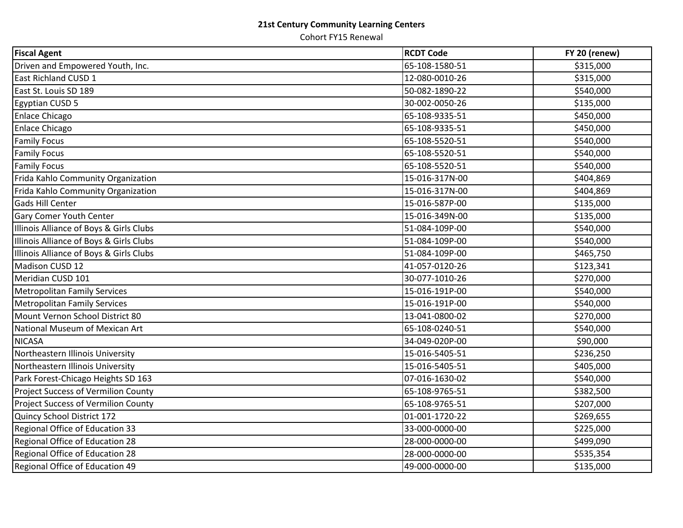## **21st Century Community Learning Centers**

Cohort FY15 Renewal

| <b>Fiscal Agent</b>                        | <b>RCDT Code</b> | FY 20 (renew) |
|--------------------------------------------|------------------|---------------|
| Driven and Empowered Youth, Inc.           | 65-108-1580-51   | \$315,000     |
| East Richland CUSD 1                       | 12-080-0010-26   | \$315,000     |
| East St. Louis SD 189                      | 50-082-1890-22   | \$540,000     |
| Egyptian CUSD 5                            | 30-002-0050-26   | \$135,000     |
| <b>Enlace Chicago</b>                      | 65-108-9335-51   | \$450,000     |
| <b>Enlace Chicago</b>                      | 65-108-9335-51   | \$450,000     |
| <b>Family Focus</b>                        | 65-108-5520-51   | \$540,000     |
| <b>Family Focus</b>                        | 65-108-5520-51   | \$540,000     |
| <b>Family Focus</b>                        | 65-108-5520-51   | \$540,000     |
| Frida Kahlo Community Organization         | 15-016-317N-00   | \$404,869     |
| Frida Kahlo Community Organization         | 15-016-317N-00   | \$404,869     |
| <b>Gads Hill Center</b>                    | 15-016-587P-00   | \$135,000     |
| Gary Comer Youth Center                    | 15-016-349N-00   | \$135,000     |
| Illinois Alliance of Boys & Girls Clubs    | 51-084-109P-00   | \$540,000     |
| Illinois Alliance of Boys & Girls Clubs    | 51-084-109P-00   | \$540,000     |
| Illinois Alliance of Boys & Girls Clubs    | 51-084-109P-00   | \$465,750     |
| Madison CUSD 12                            | 41-057-0120-26   | \$123,341     |
| Meridian CUSD 101                          | 30-077-1010-26   | \$270,000     |
| <b>Metropolitan Family Services</b>        | 15-016-191P-00   | \$540,000     |
| <b>Metropolitan Family Services</b>        | 15-016-191P-00   | \$540,000     |
| Mount Vernon School District 80            | 13-041-0800-02   | \$270,000     |
| National Museum of Mexican Art             | 65-108-0240-51   | \$540,000     |
| <b>NICASA</b>                              | 34-049-020P-00   | \$90,000      |
| Northeastern Illinois University           | 15-016-5405-51   | \$236,250     |
| Northeastern Illinois University           | 15-016-5405-51   | \$405,000     |
| Park Forest-Chicago Heights SD 163         | 07-016-1630-02   | \$540,000     |
| <b>Project Success of Vermilion County</b> | 65-108-9765-51   | \$382,500     |
| Project Success of Vermilion County        | 65-108-9765-51   | \$207,000     |
| Quincy School District 172                 | 01-001-1720-22   | \$269,655     |
| Regional Office of Education 33            | 33-000-0000-00   | \$225,000     |
| Regional Office of Education 28            | 28-000-0000-00   | \$499,090     |
| Regional Office of Education 28            | 28-000-0000-00   | \$535,354     |
| Regional Office of Education 49            | 49-000-0000-00   | \$135,000     |